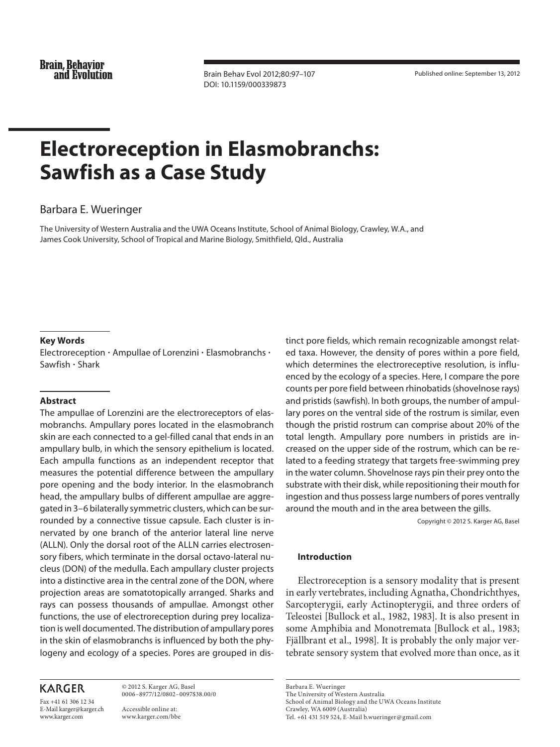**Brain, Behavior** and Evolution

 Brain Behav Evol 2012;80:97–107 DOI: 10.1159/000339873

Published online: September 13, 2012

# **Electroreception in Elasmobranchs: Sawfish as a Case Study**

## Barbara E. Wueringer

 The University of Western Australia and the UWA Oceans Institute, School of Animal Biology, Crawley, W.A. , and James Cook University, School of Tropical and Marine Biology, Smithfield, Qld. , Australia

#### **Key Words**

Electroreception  $\cdot$  Ampullae of Lorenzini  $\cdot$  Elasmobranchs  $\cdot$ Sawfish - Shark

#### **Abstract**

 The ampullae of Lorenzini are the electroreceptors of elasmobranchs. Ampullary pores located in the elasmobranch skin are each connected to a gel-filled canal that ends in an ampullary bulb, in which the sensory epithelium is located. Each ampulla functions as an independent receptor that measures the potential difference between the ampullary pore opening and the body interior. In the elasmobranch head, the ampullary bulbs of different ampullae are aggregated in 3–6 bilaterally symmetric clusters, which can be surrounded by a connective tissue capsule. Each cluster is innervated by one branch of the anterior lateral line nerve (ALLN). Only the dorsal root of the ALLN carries electrosensory fibers, which terminate in the dorsal octavo-lateral nucleus (DON) of the medulla. Each ampullary cluster projects into a distinctive area in the central zone of the DON, where projection areas are somatotopically arranged. Sharks and rays can possess thousands of ampullae. Amongst other functions, the use of electroreception during prey localization is well documented. The distribution of ampullary pores in the skin of elasmobranchs is influenced by both the phylogeny and ecology of a species. Pores are grouped in dis-

# **KARGER**

Fax +41 61 306 12 34 E-Mail karger@karger.ch www.karger.com

 © 2012 S. Karger AG, Basel 0006–8977/12/0802–0097\$38.00/0

 Accessible online at: www.karger.com/bbe tinct pore fields, which remain recognizable amongst related taxa. However, the density of pores within a pore field, which determines the electroreceptive resolution, is influenced by the ecology of a species. Here, I compare the pore counts per pore field between rhinobatids (shovelnose rays) and pristids (sawfish). In both groups, the number of ampullary pores on the ventral side of the rostrum is similar, even though the pristid rostrum can comprise about 20% of the total length. Ampullary pore numbers in pristids are increased on the upper side of the rostrum, which can be related to a feeding strategy that targets free-swimming prey in the water column. Shovelnose rays pin their prey onto the substrate with their disk, while repositioning their mouth for ingestion and thus possess large numbers of pores ventrally around the mouth and in the area between the gills.

Copyright © 2012 S. Karger AG, Basel

#### **Introduction**

 Electroreception is a sensory modality that is present in early vertebrates, including Agnatha, Chondrichthyes, Sarcopterygii, early Actinopterygii, and three orders of Teleostei [Bullock et al., 1982, 1983]. It is also present in some Amphibia and Monotremata [Bullock et al., 1983; Fjällbrant et al., 1998]. It is probably the only major vertebrate sensory system that evolved more than once, as it

 Barbara E. Wueringer The University of Western Australia

School of Animal Biology and the UWA Oceans Institute Crawley, WA 6009 (Australia) Tel. +61 431 519 524, E-Mail b.wueringer @ gmail.com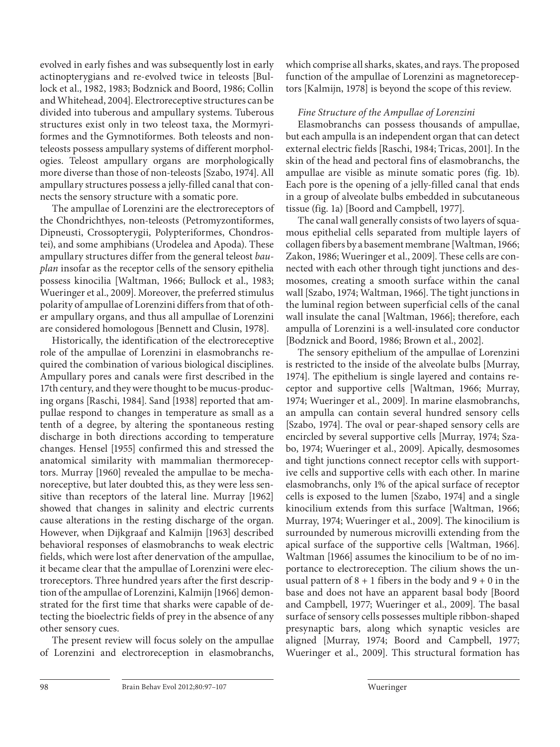evolved in early fishes and was subsequently lost in early actinopterygians and re-evolved twice in teleosts [Bullock et al., 1982, 1983; Bodznick and Boord, 1986; Collin and Whitehead, 2004]. Electroreceptive structures can be divided into tuberous and ampullary systems. Tuberous structures exist only in two teleost taxa, the Mormyriformes and the Gymnotiformes. Both teleosts and nonteleosts possess ampullary systems of different morphologies. Teleost ampullary organs are morphologically more diverse than those of non-teleosts [Szabo, 1974]. All ampullary structures possess a jelly-filled canal that connects the sensory structure with a somatic pore.

 The ampullae of Lorenzini are the electroreceptors of the Chondrichthyes, non-teleosts (Petromyzontiformes, Dipneusti, Crossopterygii, Polypteriformes, Chondrostei), and some amphibians (Urodelea and Apoda). These ampullary structures differ from the general teleost *bauplan* insofar as the receptor cells of the sensory epithelia possess kinocilia [Waltman, 1966; Bullock et al., 1983; Wueringer et al., 2009]. Moreover, the preferred stimulus polarity of ampullae of Lorenzini differs from that of other ampullary organs, and thus all ampullae of Lorenzini are considered homologous [Bennett and Clusin, 1978].

 Historically, the identification of the electroreceptive role of the ampullae of Lorenzini in elasmobranchs required the combination of various biological disciplines. Ampullary pores and canals were first described in the 17th century, and they were thought to be mucus-producing organs [Raschi, 1984]. Sand [1938] reported that ampullae respond to changes in temperature as small as a tenth of a degree, by altering the spontaneous resting discharge in both directions according to temperature changes. Hensel [1955] confirmed this and stressed the anatomical similarity with mammalian thermoreceptors. Murray [1960] revealed the ampullae to be mechanoreceptive, but later doubted this, as they were less sensitive than receptors of the lateral line. Murray [1962] showed that changes in salinity and electric currents cause alterations in the resting discharge of the organ. However, when Dijkgraaf and Kalmijn [1963] described behavioral responses of elasmobranchs to weak electric fields, which were lost after denervation of the ampullae, it became clear that the ampullae of Lorenzini were electroreceptors. Three hundred years after the first description of the ampullae of Lorenzini, Kalmijn [1966] demonstrated for the first time that sharks were capable of detecting the bioelectric fields of prey in the absence of any other sensory cues.

 The present review will focus solely on the ampullae of Lorenzini and electroreception in elasmobranchs, which comprise all sharks, skates, and rays. The proposed function of the ampullae of Lorenzini as magnetoreceptors [Kalmijn, 1978] is beyond the scope of this review.

## *Fine Structure of the Ampullae of Lorenzini*

 Elasmobranchs can possess thousands of ampullae, but each ampulla is an independent organ that can detect external electric fields [Raschi, 1984; Tricas, 2001]. In the skin of the head and pectoral fins of elasmobranchs, the ampullae are visible as minute somatic pores (fig. 1b). Each pore is the opening of a jelly-filled canal that ends in a group of alveolate bulbs embedded in subcutaneous tissue (fig. 1a) [Boord and Campbell, 1977].

 The canal wall generally consists of two layers of squamous epithelial cells separated from multiple layers of collagen fibers by a basement membrane [Waltman, 1966; Zakon, 1986; Wueringer et al., 2009]. These cells are connected with each other through tight junctions and desmosomes, creating a smooth surface within the canal wall [Szabo, 1974; Waltman, 1966]. The tight junctions in the luminal region between superficial cells of the canal wall insulate the canal [Waltman, 1966]; therefore, each ampulla of Lorenzini is a well-insulated core conductor [Bodznick and Boord, 1986; Brown et al., 2002].

 The sensory epithelium of the ampullae of Lorenzini is restricted to the inside of the alveolate bulbs [Murray, 1974]. The epithelium is single layered and contains receptor and supportive cells [Waltman, 1966; Murray, 1974; Wueringer et al., 2009]. In marine elasmobranchs, an ampulla can contain several hundred sensory cells [Szabo, 1974]. The oval or pear-shaped sensory cells are encircled by several supportive cells [Murray, 1974; Szabo, 1974; Wueringer et al., 2009]. Apically, desmosomes and tight junctions connect receptor cells with supportive cells and supportive cells with each other. In marine elasmobranchs, only 1% of the apical surface of receptor cells is exposed to the lumen [Szabo, 1974] and a single kinocilium extends from this surface [Waltman, 1966; Murray, 1974; Wueringer et al., 2009]. The kinocilium is surrounded by numerous microvilli extending from the apical surface of the supportive cells [Waltman, 1966]. Waltman [1966] assumes the kinocilium to be of no importance to electroreception. The cilium shows the unusual pattern of  $8 + 1$  fibers in the body and  $9 + 0$  in the base and does not have an apparent basal body [Boord and Campbell, 1977; Wueringer et al., 2009]. The basal surface of sensory cells possesses multiple ribbon-shaped presynaptic bars, along which synaptic vesicles are aligned [Murray, 1974; Boord and Campbell, 1977; Wueringer et al., 2009]. This structural formation has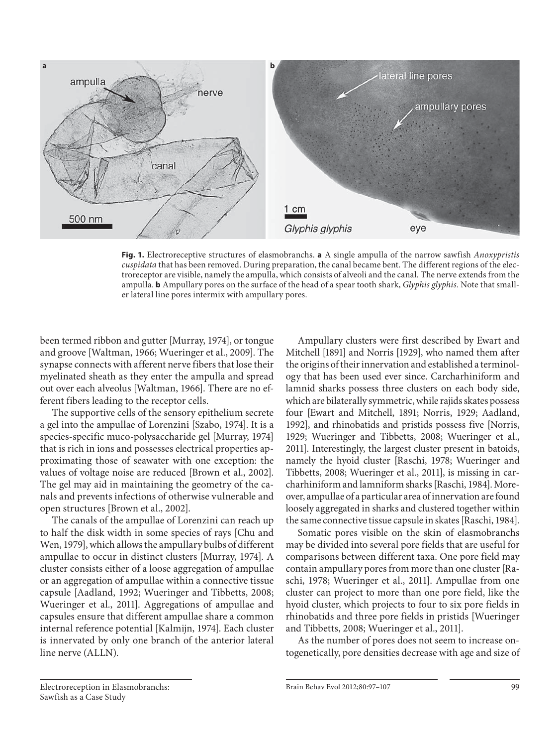

**Fig. 1.** Electroreceptive structures of elasmobranchs. **a** A single ampulla of the narrow sawfish *Anoxypristis cuspidata* that has been removed. During preparation, the canal became bent. The different regions of the electroreceptor are visible, namely the ampulla, which consists of alveoli and the canal. The nerve extends from the ampulla. **b** Ampullary pores on the surface of the head of a spear tooth shark, *Glyphis glyphis.* Note that smaller lateral line pores intermix with ampullary pores.

been termed ribbon and gutter [Murray, 1974], or tongue and groove [Waltman, 1966; Wueringer et al., 2009]. The synapse connects with afferent nerve fibers that lose their myelinated sheath as they enter the ampulla and spread out over each alveolus [Waltman, 1966]. There are no efferent fibers leading to the receptor cells.

 The supportive cells of the sensory epithelium secrete a gel into the ampullae of Lorenzini [Szabo, 1974]. It is a species-specific muco-polysaccharide gel [Murray, 1974] that is rich in ions and possesses electrical properties approximating those of seawater with one exception: the values of voltage noise are reduced [Brown et al., 2002]. The gel may aid in maintaining the geometry of the canals and prevents infections of otherwise vulnerable and open structures [Brown et al., 2002].

 The canals of the ampullae of Lorenzini can reach up to half the disk width in some species of rays [Chu and Wen, 1979], which allows the ampullary bulbs of different ampullae to occur in distinct clusters [Murray, 1974]. A cluster consists either of a loose aggregation of ampullae or an aggregation of ampullae within a connective tissue capsule [Aadland, 1992; Wueringer and Tibbetts, 2008; Wueringer et al., 2011]. Aggregations of ampullae and capsules ensure that different ampullae share a common internal reference potential [Kalmijn, 1974]. Each cluster is innervated by only one branch of the anterior lateral line nerve (ALLN).

 Ampullary clusters were first described by Ewart and Mitchell [1891] and Norris [1929], who named them after the origins of their innervation and established a terminology that has been used ever since. Carcharhiniform and lamnid sharks possess three clusters on each body side, which are bilaterally symmetric, while rajids skates possess four [Ewart and Mitchell, 1891; Norris, 1929; Aadland, 1992], and rhinobatids and pristids possess five [Norris, 1929; Wueringer and Tibbetts, 2008; Wueringer et al., 2011]. Interestingly, the largest cluster present in batoids, namely the hyoid cluster [Raschi, 1978; Wueringer and Tibbetts, 2008; Wueringer et al., 2011], is missing in carcharhiniform and lamniform sharks [Raschi, 1984]. Moreover, ampullae of a particular area of innervation are found loosely aggregated in sharks and clustered together within the same connective tissue capsule in skates [Raschi, 1984].

 Somatic pores visible on the skin of elasmobranchs may be divided into several pore fields that are useful for comparisons between different taxa. One pore field may contain ampullary pores from more than one cluster [Raschi, 1978; Wueringer et al., 2011]. Ampullae from one cluster can project to more than one pore field, like the hyoid cluster, which projects to four to six pore fields in rhinobatids and three pore fields in pristids [Wueringer and Tibbetts, 2008; Wueringer et al., 2011].

 As the number of pores does not seem to increase ontogenetically, pore densities decrease with age and size of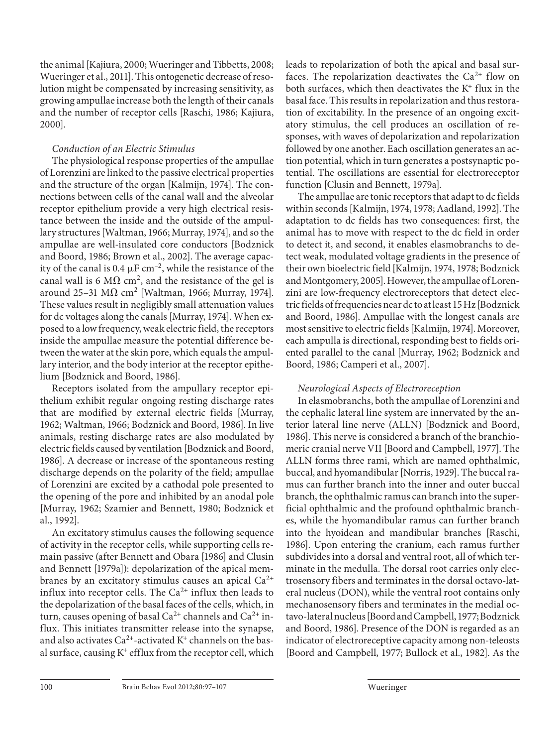the animal [Kajiura, 2000; Wueringer and Tibbetts, 2008; Wueringer et al., 2011]. This ontogenetic decrease of resolution might be compensated by increasing sensitivity, as growing ampullae increase both the length of their canals and the number of receptor cells [Raschi, 1986; Kajiura, 2000].

# *Conduction of an Electric Stimulus*

 The physiological response properties of the ampullae of Lorenzini are linked to the passive electrical properties and the structure of the organ [Kalmijn, 1974]. The connections between cells of the canal wall and the alveolar receptor epithelium provide a very high electrical resistance between the inside and the outside of the ampullary structures [Waltman, 1966; Murray, 1974], and so the ampullae are well-insulated core conductors [Bodznick and Boord, 1986; Brown et al., 2002]. The average capacity of the canal is 0.4  $\mu$ F cm<sup>-2</sup>, while the resistance of the canal wall is 6 M $\Omega$  cm<sup>2</sup>, and the resistance of the gel is around 25–31 M $\Omega$  cm<sup>2</sup> [Waltman, 1966; Murray, 1974]. These values result in negligibly small attenuation values for dc voltages along the canals [Murray, 1974]. When exposed to a low frequency, weak electric field, the receptors inside the ampullae measure the potential difference between the water at the skin pore, which equals the ampullary interior, and the body interior at the receptor epithelium [Bodznick and Boord, 1986].

 Receptors isolated from the ampullary receptor epithelium exhibit regular ongoing resting discharge rates that are modified by external electric fields [Murray, 1962; Waltman, 1966; Bodznick and Boord, 1986]. In live animals, resting discharge rates are also modulated by electric fields caused by ventilation [Bodznick and Boord, 1986]. A decrease or increase of the spontaneous resting discharge depends on the polarity of the field; ampullae of Lorenzini are excited by a cathodal pole presented to the opening of the pore and inhibited by an anodal pole [Murray, 1962; Szamier and Bennett, 1980; Bodznick et al., 1992].

 An excitatory stimulus causes the following sequence of activity in the receptor cells, while supporting cells remain passive (after Bennett and Obara [1986] and Clusin and Bennett [1979a]): depolarization of the apical membranes by an excitatory stimulus causes an apical  $Ca^{2+}$ influx into receptor cells. The  $Ca^{2+}$  influx then leads to the depolarization of the basal faces of the cells, which, in turn, causes opening of basal  $Ca^{2+}$  channels and  $Ca^{2+}$  influx. This initiates transmitter release into the synapse, and also activates  $Ca^{2+}$ -activated K<sup>+</sup> channels on the basal surface, causing  $K^+$  efflux from the receptor cell, which

leads to repolarization of both the apical and basal surfaces. The repolarization deactivates the  $Ca^{2+}$  flow on both surfaces, which then deactivates the  $K^+$  flux in the basal face. This results in repolarization and thus restoration of excitability. In the presence of an ongoing excitatory stimulus, the cell produces an oscillation of responses, with waves of depolarization and repolarization followed by one another. Each oscillation generates an action potential, which in turn generates a postsynaptic potential. The oscillations are essential for electroreceptor function [Clusin and Bennett, 1979a].

 The ampullae are tonic receptors that adapt to dc fields within seconds [Kalmijn, 1974, 1978; Aadland, 1992]. The adaptation to dc fields has two consequences: first, the animal has to move with respect to the dc field in order to detect it, and second, it enables elasmobranchs to detect weak, modulated voltage gradients in the presence of their own bioelectric field [Kalmijn, 1974, 1978; Bodznick and Montgomery, 2005]. However, the ampullae of Lorenzini are low-frequency electroreceptors that detect electric fields of frequencies near dc to at least 15 Hz [Bodznick and Boord, 1986]. Ampullae with the longest canals are most sensitive to electric fields [Kalmijn, 1974]. Moreover, each ampulla is directional, responding best to fields oriented parallel to the canal [Murray, 1962; Bodznick and Boord, 1986; Camperi et al., 2007].

# *Neurological Aspects of Electroreception*

 In elasmobranchs, both the ampullae of Lorenzini and the cephalic lateral line system are innervated by the anterior lateral line nerve (ALLN) [Bodznick and Boord, 1986]. This nerve is considered a branch of the branchiomeric cranial nerve VII [Boord and Campbell, 1977]. The ALLN forms three rami, which are named ophthalmic, buccal, and hyomandibular [Norris, 1929]. The buccal ramus can further branch into the inner and outer buccal branch, the ophthalmic ramus can branch into the superficial ophthalmic and the profound ophthalmic branches, while the hyomandibular ramus can further branch into the hyoidean and mandibular branches [Raschi, 1986]. Upon entering the cranium, each ramus further subdivides into a dorsal and ventral root, all of which terminate in the medulla. The dorsal root carries only electrosensory fibers and terminates in the dorsal octavo-lateral nucleus (DON), while the ventral root contains only mechanosensory fibers and terminates in the medial octavo-lateral nucleus [Boord and Campbell, 1977; Bodznick and Boord, 1986]. Presence of the DON is regarded as an indicator of electroreceptive capacity among non-teleosts [Boord and Campbell, 1977; Bullock et al., 1982]. As the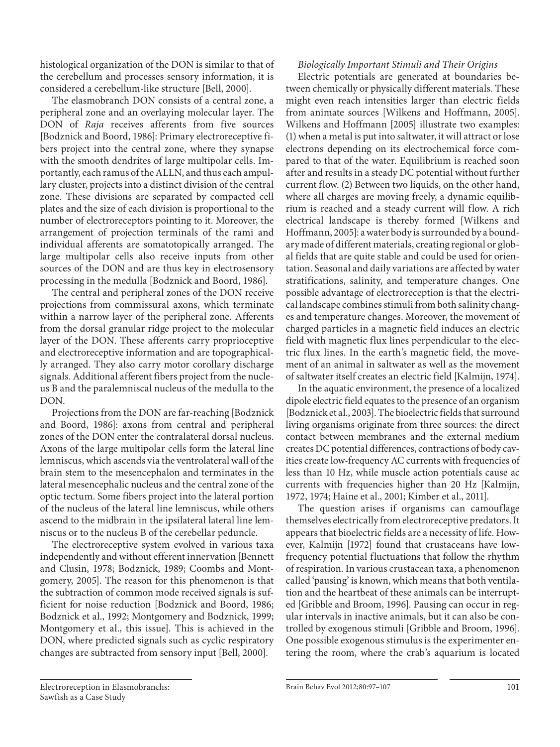histological organization of the DON is similar to that of the cerebellum and processes sensory information, it is considered a cerebellum-like structure [Bell, 2000].

 The elasmobranch DON consists of a central zone, a peripheral zone and an overlaying molecular layer. The DON of *Raja* receives afferents from five sources [Bodznick and Boord, 1986]: Primary electroreceptive fibers project into the central zone, where they synapse with the smooth dendrites of large multipolar cells. Importantly, each ramus of the ALLN, and thus each ampullary cluster, projects into a distinct division of the central zone. These divisions are separated by compacted cell plates and the size of each division is proportional to the number of electroreceptors pointing to it. Moreover, the arrangement of projection terminals of the rami and individual afferents are somatotopically arranged. The large multipolar cells also receive inputs from other sources of the DON and are thus key in electrosensory processing in the medulla [Bodznick and Boord, 1986].

 The central and peripheral zones of the DON receive projections from commissural axons, which terminate within a narrow layer of the peripheral zone. Afferents from the dorsal granular ridge project to the molecular layer of the DON. These afferents carry proprioceptive and electroreceptive information and are topographically arranged. They also carry motor corollary discharge signals. Additional afferent fibers project from the nucleus B and the paralemniscal nucleus of the medulla to the DON.

 Projections from the DON are far-reaching [Bodznick and Boord, 1986]: axons from central and peripheral zones of the DON enter the contralateral dorsal nucleus. Axons of the large multipolar cells form the lateral line lemniscus, which ascends via the ventrolateral wall of the brain stem to the mesencephalon and terminates in the lateral mesencephalic nucleus and the central zone of the optic tectum. Some fibers project into the lateral portion of the nucleus of the lateral line lemniscus, while others ascend to the midbrain in the ipsilateral lateral line lemniscus or to the nucleus B of the cerebellar peduncle.

 The electroreceptive system evolved in various taxa independently and without efferent innervation [Bennett and Clusin, 1978; Bodznick, 1989; Coombs and Montgomery, 2005]. The reason for this phenomenon is that the subtraction of common mode received signals is sufficient for noise reduction [Bodznick and Boord, 1986; Bodznick et al., 1992; Montgomery and Bodznick, 1999; Montgomery et al., this issue]. This is achieved in the DON, where predicted signals such as cyclic respiratory changes are subtracted from sensory input [Bell, 2000].

# *Biologically Important Stimuli and Their Origins*

 Electric potentials are generated at boundaries between chemically or physically different materials. These might even reach intensities larger than electric fields from animate sources [Wilkens and Hoffmann, 2005]. Wilkens and Hoffmann [2005] illustrate two examples: (1) when a metal is put into saltwater, it will attract or lose electrons depending on its electrochemical force compared to that of the water. Equilibrium is reached soon after and results in a steady DC potential without further current flow. (2) Between two liquids, on the other hand, where all charges are moving freely, a dynamic equilibrium is reached and a steady current will flow. A rich electrical landscape is thereby formed [Wilkens and Hoffmann, 2005]: a water body is surrounded by a boundary made of different materials, creating regional or global fields that are quite stable and could be used for orientation. Seasonal and daily variations are affected by water stratifications, salinity, and temperature changes. One possible advantage of electroreception is that the electrical landscape combines stimuli from both salinity changes and temperature changes. Moreover, the movement of charged particles in a magnetic field induces an electric field with magnetic flux lines perpendicular to the electric flux lines. In the earth's magnetic field, the movement of an animal in saltwater as well as the movement of saltwater itself creates an electric field [Kalmijn, 1974].

 In the aquatic environment, the presence of a localized dipole electric field equates to the presence of an organism [Bodznick et al., 2003]. The bioelectric fields that surround living organisms originate from three sources: the direct contact between membranes and the external medium creates DC potential differences, contractions of body cavities create low-frequency AC currents with frequencies of less than 10 Hz, while muscle action potentials cause ac currents with frequencies higher than 20 Hz [Kalmijn, 1972, 1974; Haine et al., 2001; Kimber et al., 2011].

 The question arises if organisms can camouflage themselves electrically from electroreceptive predators. It appears that bioelectric fields are a necessity of life. However, Kalmijn [1972] found that crustaceans have lowfrequency potential fluctuations that follow the rhythm of respiration. In various crustacean taxa, a phenomenon called 'pausing' is known, which means that both ventilation and the heartbeat of these animals can be interrupted [Gribble and Broom, 1996]. Pausing can occur in regular intervals in inactive animals, but it can also be controlled by exogenous stimuli [Gribble and Broom, 1996]. One possible exogenous stimulus is the experimenter entering the room, where the crab's aquarium is located

 Electroreception in Elasmobranchs: Sawfish as a Case Study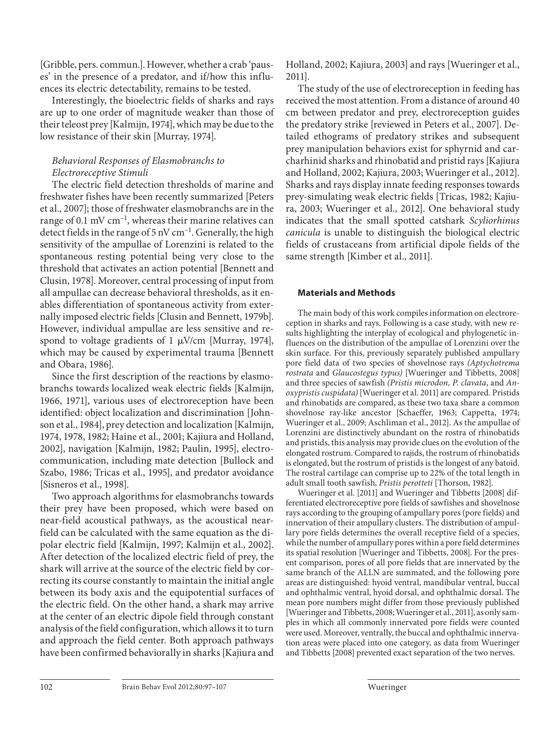[Gribble, pers. commun.]. However, whether a crab 'pauses' in the presence of a predator, and if/how this influences its electric detectability, remains to be tested.

 Interestingly, the bioelectric fields of sharks and rays are up to one order of magnitude weaker than those of their teleost prey [Kalmijn, 1974], which may be due to the low resistance of their skin [Murray, 1974].

# *Behavioral Responses of Elasmobranchs to Electroreceptive Stimuli*

 The electric field detection thresholds of marine and freshwater fishes have been recently summarized [Peters et al., 2007]; those of freshwater elasmobranchs are in the range of 0.1 mV  $cm^{-1}$ , whereas their marine relatives can detect fields in the range of 5 nV  $cm^{-1}$ . Generally, the high sensitivity of the ampullae of Lorenzini is related to the spontaneous resting potential being very close to the threshold that activates an action potential [Bennett and Clusin, 1978]. Moreover, central processing of input from all ampullae can decrease behavioral thresholds, as it enables differentiation of spontaneous activity from externally imposed electric fields [Clusin and Bennett, 1979b]. However, individual ampullae are less sensitive and respond to voltage gradients of  $1 \mu V/cm$  [Murray, 1974], which may be caused by experimental trauma [Bennett and Obara, 1986].

 Since the first description of the reactions by elasmobranchs towards localized weak electric fields [Kalmijn, 1966, 1971], various uses of electroreception have been identified: object localization and discrimination [Johnson et al., 1984], prey detection and localization [Kalmijn, 1974, 1978, 1982; Haine et al., 2001; Kajiura and Holland, 2002], navigation [Kalmijn, 1982; Paulin, 1995], electrocommunication, including mate detection [Bullock and Szabo, 1986; Tricas et al., 1995], and predator avoidance [Sisneros et al., 1998].

 Two approach algorithms for elasmobranchs towards their prey have been proposed, which were based on near-field acoustical pathways, as the acoustical nearfield can be calculated with the same equation as the dipolar electric field [Kalmijn, 1997; Kalmijn et al., 2002]. After detection of the localized electric field of prey, the shark will arrive at the source of the electric field by correcting its course constantly to maintain the initial angle between its body axis and the equipotential surfaces of the electric field. On the other hand, a shark may arrive at the center of an electric dipole field through constant analysis of the field configuration, which allows it to turn and approach the field center. Both approach pathways have been confirmed behaviorally in sharks [Kajiura and

Holland, 2002; Kajiura, 2003] and rays [Wueringer et al., 2011].

 The study of the use of electroreception in feeding has received the most attention. From a distance of around 40 cm between predator and prey, electroreception guides the predatory strike [reviewed in Peters et al., 2007]. Detailed ethograms of predatory strikes and subsequent prey manipulation behaviors exist for sphyrnid and carcharhinid sharks and rhinobatid and pristid rays [Kajiura and Holland, 2002; Kajiura, 2003; Wueringer et al., 2012]. Sharks and rays display innate feeding responses towards prey-simulating weak electric fields [Tricas, 1982; Kajiura, 2003; Wueringer et al., 2012]. One behavioral study indicates that the small spotted catshark *Scyliorhinus canicula* is unable to distinguish the biological electric fields of crustaceans from artificial dipole fields of the same strength [Kimber et al., 2011].

#### **Materials and Methods**

 The main body of this work compiles information on electroreception in sharks and rays. Following is a case study, with new results highlighting the interplay of ecological and phylogenetic influences on the distribution of the ampullae of Lorenzini over the skin surface. For this, previously separately published ampullary pore field data of two species of shovelnose rays *(Aptychotrema rostrata* and *Glaucostegus typus)* [Wueringer and Tibbetts, 2008] and three species of sawfish *(Pristis microdon, P. clavata, and Anoxypristis cuspidata)* [Wueringer et al. 2011] are compared. Pristids and rhinobatids are compared, as these two taxa share a common shovelnose ray-like ancestor [Schaeffer, 1963; Cappetta, 1974; Wueringer et al., 2009; Aschliman et al., 2012]. As the ampullae of Lorenzini are distinctively abundant on the rostra of rhinobatids and pristids, this analysis may provide clues on the evolution of the elongated rostrum. Compared to rajids, the rostrum of rhinobatids is elongated, but the rostrum of pristids is the longest of any batoid. The rostral cartilage can comprise up to 22% of the total length in adult small tooth sawfish, *Pristis perotteti* [Thorson, 1982].

 Wueringer et al. [2011] and Wueringer and Tibbetts [2008] differentiated electroreceptive pore fields of sawfishes and shovelnose rays according to the grouping of ampullary pores (pore fields) and innervation of their ampullary clusters. The distribution of ampullary pore fields determines the overall receptive field of a species, while the number of ampullary pores within a pore field determines its spatial resolution [Wueringer and Tibbetts, 2008]. For the present comparison, pores of all pore fields that are innervated by the same branch of the ALLN are summated, and the following pore areas are distinguished: hyoid ventral, mandibular ventral, buccal and ophthalmic ventral, hyoid dorsal, and ophthalmic dorsal. The mean pore numbers might differ from those previously published [Wueringer and Tibbetts, 2008; Wueringer et al., 2011], as only samples in which all commonly innervated pore fields were counted were used. Moreover, ventrally, the buccal and ophthalmic innervation areas were placed into one category, as data from Wueringer and Tibbetts [2008] prevented exact separation of the two nerves.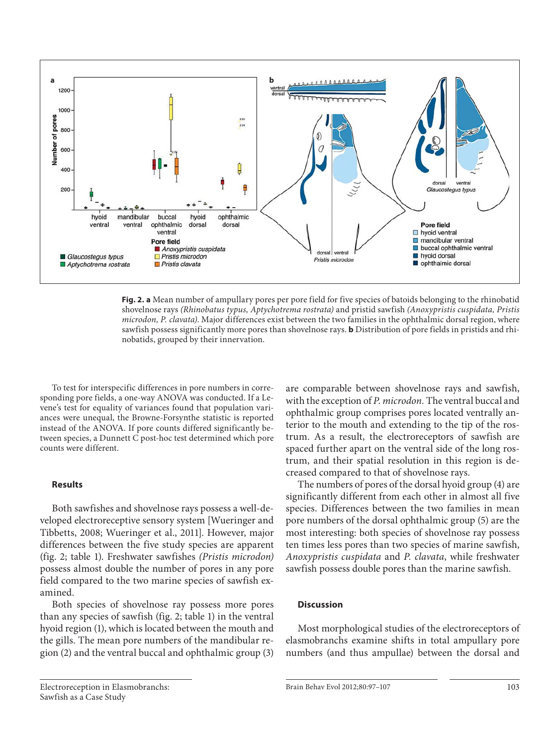

**Fig. 2. a** Mean number of ampullary pores per pore field for five species of batoids belonging to the rhinobatid shovelnose rays *(Rhinobatus typus, Aptychotrema rostrata)* and pristid sawfish *(Anoxypristis cuspidata, Pristis microdon, P. clavata)* . Major differences exist between the two families in the ophthalmic dorsal region, where sawfish possess significantly more pores than shovelnose rays. **b** Distribution of pore fields in pristids and rhinobatids, grouped by their innervation.

 To test for interspecific differences in pore numbers in corresponding pore fields, a one-way ANOVA was conducted. If a Levene's test for equality of variances found that population variances were unequal, the Browne-Forsynthe statistic is reported instead of the ANOVA. If pore counts differed significantly between species, a Dunnett C post-hoc test determined which pore counts were different.

#### **Results**

 Both sawfishes and shovelnose rays possess a well-developed electroreceptive sensory system [Wueringer and Tibbetts, 2008; Wueringer et al., 2011]. However, major differences between the five study species are apparent (fig. 2; table 1). Freshwater sawfishes (Pristis microdon) possess almost double the number of pores in any pore field compared to the two marine species of sawfish examined.

 Both species of shovelnose ray possess more pores than any species of sawfish ( $fig. 2$ ; table 1) in the ventral hyoid region (1), which is located between the mouth and the gills. The mean pore numbers of the mandibular region (2) and the ventral buccal and ophthalmic group (3)

are comparable between shovelnose rays and sawfish, with the exception of *P. microdon.* The ventral buccal and ophthalmic group comprises pores located ventrally anterior to the mouth and extending to the tip of the rostrum. As a result, the electroreceptors of sawfish are spaced further apart on the ventral side of the long rostrum, and their spatial resolution in this region is decreased compared to that of shovelnose rays.

 The numbers of pores of the dorsal hyoid group (4) are significantly different from each other in almost all five species. Differences between the two families in mean pore numbers of the dorsal ophthalmic group (5) are the most interesting: both species of shovelnose ray possess ten times less pores than two species of marine sawfish, *Anoxypristis cuspidata* and *P. clavata* , while freshwater sawfish possess double pores than the marine sawfish.

#### **Discussion**

 Most morphological studies of the electroreceptors of elasmobranchs examine shifts in total ampullary pore numbers (and thus ampullae) between the dorsal and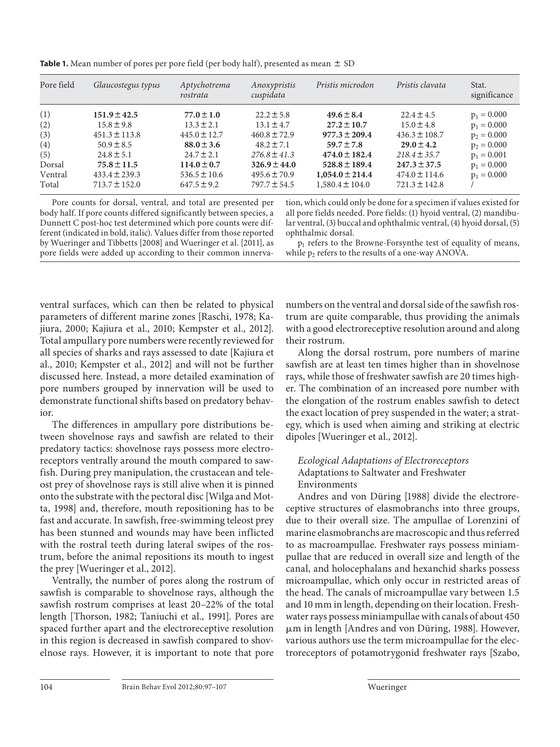Pore field *Glaucostegus typus Aptychotrema rostrata Anoxypristis cuspidata Pristis microdon Pristis clavata* Stat. significance (1) **151.9** $\pm$ **42.5 77.0** $\pm$ **1.0** 22.2 $\pm$ 5.8 **49.6** $\pm$ **8.4** 22.4 $\pm$ 4.5 **p**<sub>1</sub> = 0.000 (2) 15.8 ± 9.8 13.3 ± 2.1 13.1 ± 4.7 27.2 ± 10.7 15.0 ± 4.8  $p_1 = 0.000$ (3)  $451.3 \pm 113.8$   $445.0 \pm 12.7$   $460.8 \pm 72.9$   $977.3 \pm 209.4$   $436.3 \pm 108.7$   $p_2 = 0.000$ (4)  $50.9 \pm 8.5$  **88.0** $\pm 3.6$   $48.2 \pm 7.1$  **59.7** $\pm 7.8$  **29.0** $\pm 4.2$  **p**<sub>2</sub> = 0.000 (5)  $24.8 \pm 5.1$   $24.7 \pm 2.1$   $276.8 \pm 41.3$   $474.0 \pm 182.4$   $218.4 \pm 35.7$   $p_1 = 0.001$ **Dorsal 75.8** $\pm$ 11.5 114.0 $\pm$ 0.7 326.9 $\pm$ 44.0 528.8 $\pm$ 189.4 247.3 $\pm$ 37.5 p<sub>1</sub> = 0.000 Ventral  $433.4 \pm 239.3$   $536.5 \pm 10.6$   $495.6 \pm 70.9$   $1,054.0 \pm 214.4$   $474.0 \pm 114.6$   $p_1 = 0.000$ Total 713.7 ± 152.0 647.5 ± 9.2 797.7 ± 54.5 1,580.4 ± 104.0 721.3 ± 142.8  $\overline{)}$ 

**Table 1.** Mean number of pores per pore field (per body half), presented as mean  $\pm$  SD

Pore counts for dorsal, ventral, and total are presented per body half. If pore counts differed significantly between species, a Dunnett C post-hoc test determined which pore counts were different (indicated in bold, italic). Values differ from those reported by Wueringer and Tibbetts [2008] and Wueringer et al. [2011], as pore fields were added up according to their common innervation, which could only be done for a specimen if values existed for all pore fields needed. Pore fields: (1) hyoid ventral, (2) mandibular ventral, (3) buccal and ophthalmic ventral, (4) hyoid dorsal, (5) ophthalmic dorsal.

 $p_1$  refers to the Browne-Forsynthe test of equality of means, while  $p_2$  refers to the results of a one-way ANOVA.

ventral surfaces, which can then be related to physical parameters of different marine zones [Raschi, 1978; Kajiura, 2000; Kajiura et al., 2010; Kempster et al., 2012]. Total ampullary pore numbers were recently reviewed for all species of sharks and rays assessed to date [Kajiura et al., 2010; Kempster et al., 2012] and will not be further discussed here. Instead, a more detailed examination of pore numbers grouped by innervation will be used to demonstrate functional shifts based on predatory behavior.

 The differences in ampullary pore distributions between shovelnose rays and sawfish are related to their predatory tactics: shovelnose rays possess more electroreceptors ventrally around the mouth compared to sawfish. During prey manipulation, the crustacean and teleost prey of shovelnose rays is still alive when it is pinned onto the substrate with the pectoral disc [Wilga and Motta, 1998] and, therefore, mouth repositioning has to be fast and accurate. In sawfish, free-swimming teleost prey has been stunned and wounds may have been inflicted with the rostral teeth during lateral swipes of the rostrum, before the animal repositions its mouth to ingest the prey [Wueringer et al., 2012].

 Ventrally, the number of pores along the rostrum of sawfish is comparable to shovelnose rays, although the sawfish rostrum comprises at least 20–22% of the total length [Thorson, 1982; Taniuchi et al., 1991]. Pores are spaced further apart and the electroreceptive resolution in this region is decreased in sawfish compared to shovelnose rays. However, it is important to note that pore

numbers on the ventral and dorsal side of the sawfish rostrum are quite comparable, thus providing the animals with a good electroreceptive resolution around and along their rostrum.

 Along the dorsal rostrum, pore numbers of marine sawfish are at least ten times higher than in shovelnose rays, while those of freshwater sawfish are 20 times higher. The combination of an increased pore number with the elongation of the rostrum enables sawfish to detect the exact location of prey suspended in the water; a strategy, which is used when aiming and striking at electric dipoles [Wueringer et al., 2012].

## *Ecological Adaptations of Electroreceptors*  Adaptations to Saltwater and Freshwater Environments

 Andres and von Düring [1988] divide the electroreceptive structures of elasmobranchs into three groups, due to their overall size. The ampullae of Lorenzini of marine elasmobranchs are macroscopic and thus referred to as macroampullae. Freshwater rays possess miniampullae that are reduced in overall size and length of the canal, and holocephalans and hexanchid sharks possess microampullae, which only occur in restricted areas of the head. The canals of microampullae vary between 1.5 and 10 mm in length, depending on their location. Freshwater rays possess miniampullae with canals of about 450 µm in length [Andres and von Düring, 1988]. However, various authors use the term microampullae for the electroreceptors of potamotrygonid freshwater rays [Szabo,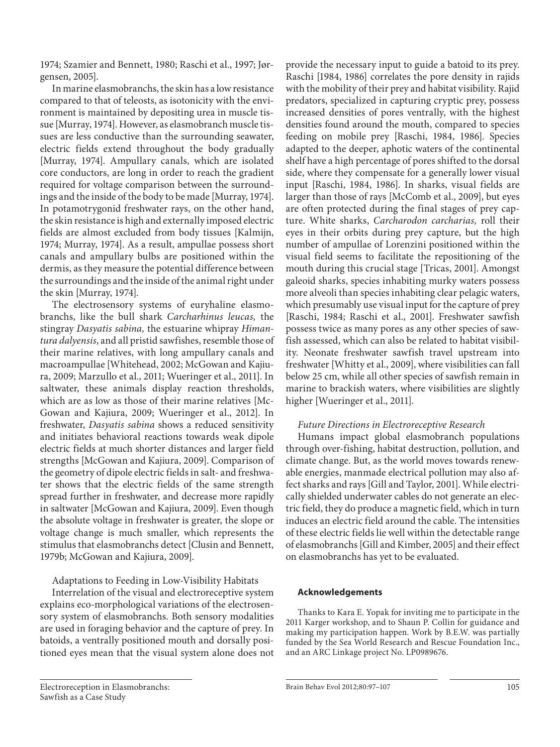1974; Szamier and Bennett, 1980; Raschi et al., 1997; Jørgensen, 2005].

 In marine elasmobranchs, the skin has a low resistance compared to that of teleosts, as isotonicity with the environment is maintained by depositing urea in muscle tissue [Murray, 1974]. However, as elasmobranch muscle tissues are less conductive than the surrounding seawater, electric fields extend throughout the body gradually [Murray, 1974]. Ampullary canals, which are isolated core conductors, are long in order to reach the gradient required for voltage comparison between the surroundings and the inside of the body to be made [Murray, 1974]. In potamotrygonid freshwater rays, on the other hand, the skin resistance is high and externally imposed electric fields are almost excluded from body tissues [Kalmijn, 1974; Murray, 1974]. As a result, ampullae possess short canals and ampullary bulbs are positioned within the dermis, as they measure the potential difference between the surroundings and the inside of the animal right under the skin [Murray, 1974].

 The electrosensory systems of euryhaline elasmobranchs, like the bull shark *Carcharhinus leucas,* the stingray *Dasyatis sabina,* the estuarine whipray *Himantura dalyensis* , and all pristid sawfishes, resemble those of their marine relatives, with long ampullary canals and macroampullae [Whitehead, 2002; McGowan and Kajiura, 2009; Marzullo et al., 2011; Wueringer et al., 2011]. In saltwater, these animals display reaction thresholds, which are as low as those of their marine relatives [Mc-Gowan and Kajiura, 2009; Wueringer et al., 2012]. In freshwater, *Dasyatis sabina* shows a reduced sensitivity and initiates behavioral reactions towards weak dipole electric fields at much shorter distances and larger field strengths [McGowan and Kajiura, 2009]. Comparison of the geometry of dipole electric fields in salt- and freshwater shows that the electric fields of the same strength spread further in freshwater, and decrease more rapidly in saltwater [McGowan and Kajiura, 2009]. Even though the absolute voltage in freshwater is greater, the slope or voltage change is much smaller, which represents the stimulus that elasmobranchs detect [Clusin and Bennett, 1979b; McGowan and Kajiura, 2009].

Adaptations to Feeding in Low-Visibility Habitats

 Interrelation of the visual and electroreceptive system explains eco-morphological variations of the electrosensory system of elasmobranchs. Both sensory modalities are used in foraging behavior and the capture of prey. In batoids, a ventrally positioned mouth and dorsally positioned eyes mean that the visual system alone does not provide the necessary input to guide a batoid to its prey. Raschi [1984, 1986] correlates the pore density in rajids with the mobility of their prey and habitat visibility. Rajid predators, specialized in capturing cryptic prey, possess increased densities of pores ventrally, with the highest densities found around the mouth, compared to species feeding on mobile prey [Raschi, 1984, 1986]. Species adapted to the deeper, aphotic waters of the continental shelf have a high percentage of pores shifted to the dorsal side, where they compensate for a generally lower visual input [Raschi, 1984, 1986]. In sharks, visual fields are larger than those of rays [McComb et al., 2009], but eyes are often protected during the final stages of prey capture. White sharks, *Carcharodon carcharias,* roll their eyes in their orbits during prey capture, but the high number of ampullae of Lorenzini positioned within the visual field seems to facilitate the repositioning of the mouth during this crucial stage [Tricas, 2001]. Amongst galeoid sharks, species inhabiting murky waters possess more alveoli than species inhabiting clear pelagic waters, which presumably use visual input for the capture of prey [Raschi, 1984; Raschi et al., 2001]. Freshwater sawfish possess twice as many pores as any other species of sawfish assessed, which can also be related to habitat visibility. Neonate freshwater sawfish travel upstream into freshwater [Whitty et al., 2009], where visibilities can fall below 25 cm, while all other species of sawfish remain in marine to brackish waters, where visibilities are slightly higher [Wueringer et al., 2011].

## *Future Directions in Electroreceptive Research*

 Humans impact global elasmobranch populations through over-fishing, habitat destruction, pollution, and climate change. But, as the world moves towards renewable energies, manmade electrical pollution may also affect sharks and rays [Gill and Taylor, 2001]. While electrically shielded underwater cables do not generate an electric field, they do produce a magnetic field, which in turn induces an electric field around the cable. The intensities of these electric fields lie well within the detectable range of elasmobranchs [Gill and Kimber, 2005] and their effect on elasmobranchs has yet to be evaluated.

## **Acknowledgements**

 Thanks to Kara E. Yopak for inviting me to participate in the 2011 Karger workshop, and to Shaun P. Collin for guidance and making my participation happen. Work by B.E.W. was partially funded by the Sea World Research and Rescue Foundation Inc., and an ARC Linkage project No. LP0989676.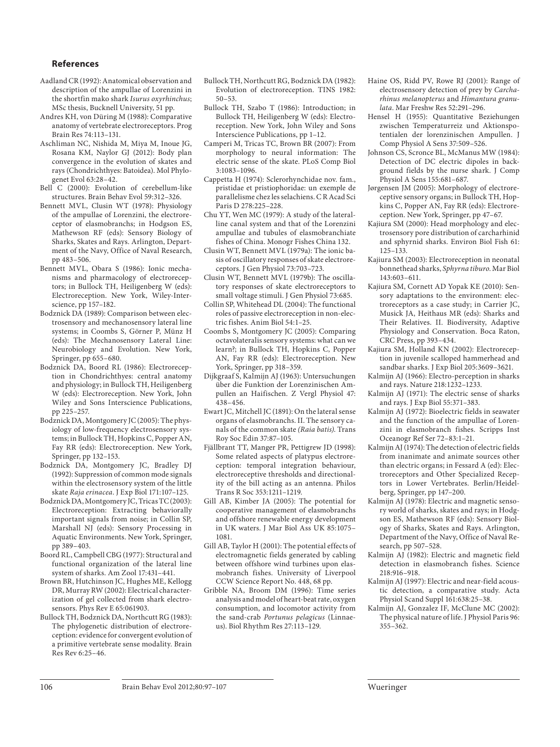#### **References**

- Aadland CR (1992): Anatomical observation and description of the ampullae of Lorenzini in the shortfin mako shark *Isurus oxyrhinchus* ; MSc thesis, Bucknell University, 51 pp.
- Andres KH, von Düring M (1988): Comparative anatomy of vertebrate electroreceptors. Prog Brain Res 74:113–131.
- Aschliman NC, Nishida M, Miya M, Inoue JG, Rosana KM, Naylor GJ (2012): Body plan convergence in the evolution of skates and rays (Chondrichthyes: Batoidea). Mol Phylogenet Evol 63:28–42.
- Bell C (2000): Evolution of cerebellum-like structures. Brain Behav Evol 59:312–326.
- Bennett MVL, Clusin WT (1978): Physiology of the ampullae of Lorenzini, the electroreceptor of elasmobranchs; in Hodgson ES, Mathewson RF (eds): Sensory Biology of Sharks, Skates and Rays. Arlington, Department of the Navy, Office of Naval Research, pp 483–506.
- Bennett MVL, Obara S (1986): Ionic mechanisms and pharmacology of electroreceptors; in Bullock TH, Heiligenberg W (eds): Electroreception. New York, Wiley-Interscience, pp 157–182.
- Bodznick DA (1989): Comparison between electrosensory and mechanosensory lateral line systems; in Coombs S, Görner P, Münz H (eds): The Mechanosensory Lateral Line: Neurobiology and Evolution. New York, Springer, pp 655–680.
- Bodznick DA, Boord RL (1986): Electroreception in Chondrichthyes: central anatomy and physiology; in Bullock TH, Heiligenberg W (eds): Electroreception. New York, John Wiley and Sons Interscience Publications, pp 225–257.
- Bodznick DA, Montgomery JC (2005): The physiology of low-frequency electrosensory systems; in Bullock TH, Hopkins C, Popper AN, Fay RR (eds): Electroreception. New York, Springer, pp 132–153.
- Bodznick DA, Montgomery JC, Bradley DJ (1992): Suppression of common mode signals within the electrosensory system of the little skate *Raja erinacea* . J Exp Biol 171:107–125.
- Bodznick DA, Montgomery JC, Tricas TC (2003): Electroreception: Extracting behaviorally important signals from noise; in Collin SP, Marshall NJ (eds): Sensory Processing in Aquatic Environments. New York, Springer, pp 389–403.
- Boord RL, Campbell CBG (1977): Structural and functional organization of the lateral line system of sharks. Am Zool 17:431–441.
- Brown BR, Hutchinson JC, Hughes ME, Kellogg DR, Murray RW (2002): Electrical characterization of gel collected from shark electrosensors. Phys Rev E 65:061903.
- Bullock TH, Bodznick DA, Northcutt RG (1983): The phylogenetic distribution of electroreception: evidence for convergent evolution of a primitive vertebrate sense modality. Brain Res Rev 6:25–46.
- Bullock TH, Northcutt RG, Bodznick DA (1982): Evolution of electroreception. TINS 1982: 50–53.
- Bullock TH, Szabo T (1986): Introduction; in Bullock TH, Heiligenberg W (eds): Electroreception. New York, John Wiley and Sons Interscience Publications, pp 1–12.
- Camperi M, Tricas TC, Brown BR (2007): From morphology to neural information: The electric sense of the skate. PLoS Comp Biol 3:1083–1096.
- Cappetta H (1974): Sclerorhynchidae nov. fam., pristidae et pristiophoridae: un exemple de parallelisme chez les selachiens. C R Acad Sci Paris D 278:225–228.
- Chu YT, Wen MC (1979): A study of the lateralline canal system and that of the Lorenzini ampullae and tubules of elasmobranchiate fishes of China. Monogr Fishes China 132.
- Clusin WT, Bennett MVL (1979a): The ionic basis of oscillatory responses of skate electroreceptors. J Gen Physiol 73:703–723.
- Clusin WT, Bennett MVL (1979b): The oscillatory responses of skate electroreceptors to small voltage stimuli. J Gen Physiol 73:685.
- Collin SP, Whitehead DL (2004): The functional roles of passive electroreception in non-electric fishes. Anim Biol 54:1–25.
- Coombs S, Montgomery JC (2005): Comparing octavolateralis sensory systems: what can we learn?; in Bullock TH, Hopkins C, Popper AN, Fay RR (eds): Electroreception. New York, Springer, pp 318–359.
- Dijkgraaf S, Kalmijn AJ (1963): Untersuchungen über die Funktion der Lorenzinischen Ampullen an Haifischen. Z Vergl Physiol 47: 438–456.
- Ewart JC, Mitchell JC (1891): On the lateral sense organs of elasmobranchs. II. The sensory canals of the common skate *(Raia batis)* . Trans Roy Soc Edin 37:87–105.
- Fjällbrant TT, Manger PR, Pettigrew JD (1998): Some related aspects of platypus electroreception: temporal integration behaviour, electroreceptive thresholds and directionality of the bill acting as an antenna. Philos Trans R Soc 353:1211–1219.
- Gill AB, Kimber JA (2005): The potential for cooperative management of elasmobranchs and offshore renewable energy development in UK waters. J Mar Biol Ass UK 85:1075– 1081.
- Gill AB, Taylor H (2001): The potential effects of electromagnetic fields generated by cabling between offshore wind turbines upon elasmobranch fishes. University of Liverpool CCW Science Report No. 448, 68 pp.
- Gribble NA, Broom DM (1996): Time series analysis and model of heart-beat rate, oxygen consumption, and locomotor activity from the sand-crab *Portunus pelagicus* (Linnaeus). Biol Rhythm Res 27:113–129.
- Haine OS, Ridd PV, Rowe RJ (2001): Range of electrosensory detection of prey by *Carcharhinus melanopterus* and *Himantura granulata* . Mar Freshw Res 52:291–296.
- Hensel H (1955): Quantitative Beziehungen zwischen Temperaturreiz und Aktionspotentialen der lorenzinischen Ampullen. J Comp Physiol A Sens 37:509–526.
- Johnson CS, Scronce BL, McManus MW (1984): Detection of DC electric dipoles in background fields by the nurse shark. J Comp Physiol A Sens 155:681–687.
- Jørgensen JM (2005): Morphology of electroreceptive sensory organs; in Bullock TH, Hopkins C, Popper AN, Fay RR (eds): Electroreception. New York, Springer, pp 47–67.
- Kajiura SM (2000): Head morphology and electrosensory pore distribution of carcharhinid and sphyrnid sharks. Environ Biol Fish 61: 125–133.
- Kajiura SM (2003): Electroreception in neonatal bonnethead sharks, *Sphyrna tiburo* . Mar Biol 143:603–611.
- Kajiura SM, Cornett AD Yopak KE (2010): Sensory adaptations to the environment: electroreceptors as a case study; in Carrier JC, Musick JA, Heithaus MR (eds): Sharks and Their Relatives. II. Biodiversity, Adaptive Physiology and Conservation. Boca Raton, CRC Press, pp 393–434.
- Kajiura SM, Holland KN (2002): Electroreception in juvenile scalloped hammerhead and sandbar sharks. J Exp Biol 205:3609–3621.
- Kalmijn AJ (1966): Electro-perception in sharks and rays. Nature 218:1232–1233.
- Kalmijn AJ (1971): The electric sense of sharks and rays. J Exp Biol 55:371–383.
- Kalmijn AJ (1972): Bioelectric fields in seawater and the function of the ampullae of Lorenzini in elasmobranch fishes. Scripps Inst Oceanogr Ref Ser 72–83:1–21.
- Kalmijn AJ (1974): The detection of electric fields from inanimate and animate sources other than electric organs; in Fessard A (ed): Electroreceptors and Other Specialized Receptors in Lower Vertebrates. Berlin/Heidelberg, Springer, pp 147–200.
- Kalmijn AJ (1978): Electric and magnetic sensory world of sharks, skates and rays; in Hodgson ES, Mathewson RF (eds): Sensory Biology of Sharks, Skates and Rays. Arlington, Department of the Navy, Office of Naval Research, pp 507–528.
- Kalmijn AJ (1982): Electric and magnetic field detection in elasmobranch fishes. Science 218:916–918.
- Kalmijn AJ (1997): Electric and near-field acoustic detection, a comparative study. Acta Physiol Scand Suppl 161:638:25–38.
- Kalmijn AJ, Gonzalez IF, McClune MC (2002): The physical nature of life. J Physiol Paris 96: 355–362.